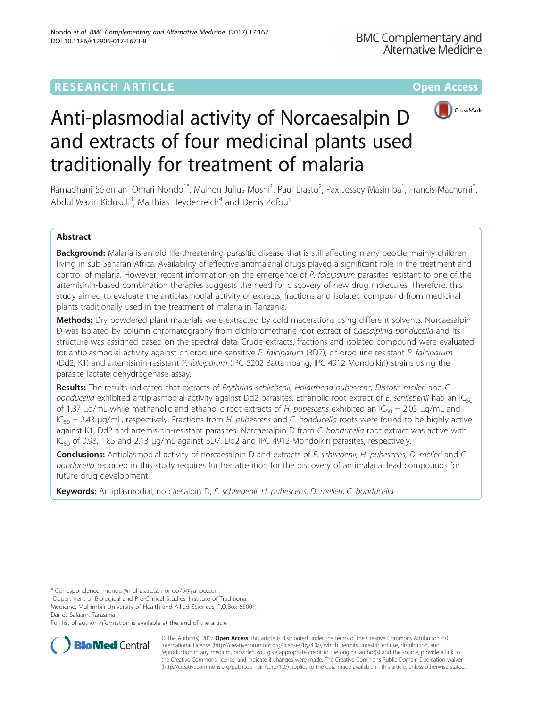# **RESEARCH ARTICLE Example 2014 12:30 The Community Community Community Community Community Community Community**



# Anti-plasmodial activity of Norcaesalpin D and extracts of four medicinal plants used traditionally for treatment of malaria

Ramadhani Selemani Omari Nondo<sup>1\*</sup>, Mainen Julius Moshi<sup>1</sup>, Paul Erasto<sup>2</sup>, Pax Jessey Masimba<sup>1</sup>, Francis Machumi<sup>3</sup> , Abdul Waziri Kidukuli<sup>3</sup>, Matthias Heydenreich<sup>4</sup> and Denis Zofou<sup>5</sup>

# Abstract

Background: Malaria is an old life-threatening parasitic disease that is still affecting many people, mainly children living in sub-Saharan Africa. Availability of effective antimalarial drugs played a significant role in the treatment and control of malaria. However, recent information on the emergence of P. falciparum parasites resistant to one of the artemisinin-based combination therapies suggests the need for discovery of new drug molecules. Therefore, this study aimed to evaluate the antiplasmodial activity of extracts, fractions and isolated compound from medicinal plants traditionally used in the treatment of malaria in Tanzania.

Methods: Dry powdered plant materials were extracted by cold macerations using different solvents. Norcaesalpin D was isolated by column chromatography from dichloromethane root extract of Caesalpinia bonducella and its structure was assigned based on the spectral data. Crude extracts, fractions and isolated compound were evaluated for antiplasmodial activity against chloroquine-sensitive P. falciparum (3D7), chloroquine-resistant P. falciparum (Dd2, K1) and artemisinin-resistant P. falciparum (IPC 5202 Battambang, IPC 4912 Mondolkiri) strains using the parasite lactate dehydrogenase assay.

Results: The results indicated that extracts of Erythrina schliebenii, Holarrhena pubescens, Dissotis melleri and C. bonducella exhibited antiplasmodial activity against Dd2 parasites. Ethanolic root extract of E. schliebenii had an IC<sub>50</sub> of 1.87 μg/mL while methanolic and ethanolic root extracts of H. pubescens exhibited an IC<sub>50</sub> = 2.05 μg/mL and  $IC_{50} = 2.43$  µg/mL, respectively. Fractions from H. pubescens and C. bonducella roots were found to be highly active against K1, Dd2 and artemisinin-resistant parasites. Norcaesalpin D from C. bonducella root extract was active with IC<sub>50</sub> of 0.98, 1.85 and 2.13 μg/mL against 3D7, Dd2 and IPC 4912-Mondolkiri parasites, respectively.

Conclusions: Antiplasmodial activity of norcaesalpin D and extracts of E. schliebenii, H. pubescens, D. melleri and C. bonducella reported in this study requires further attention for the discovery of antimalarial lead compounds for future drug development.

Keywords: Antiplasmodial, norcaesalpin D, E. schliebenii, H. pubescens, D. melleri, C. bonducella

\* Correspondence: [rnondo@muhas.ac.tz;](mailto:rnondo@muhas.ac.tz) [nondo75@yahoo.com](mailto:nondo75@yahoo.com) <sup>1</sup>

<sup>1</sup>Department of Biological and Pre-Clinical Studies, Institute of Traditional

Medicine, Muhimbili University of Health and Allied Sciences, P.O.Box 65001, Dar es Salaam, Tanzania

Full list of author information is available at the end of the article



© The Author(s). 2017 **Open Access** This article is distributed under the terms of the Creative Commons Attribution 4.0 International License [\(http://creativecommons.org/licenses/by/4.0/](http://creativecommons.org/licenses/by/4.0/)), which permits unrestricted use, distribution, and reproduction in any medium, provided you give appropriate credit to the original author(s) and the source, provide a link to the Creative Commons license, and indicate if changes were made. The Creative Commons Public Domain Dedication waiver [\(http://creativecommons.org/publicdomain/zero/1.0/](http://creativecommons.org/publicdomain/zero/1.0/)) applies to the data made available in this article, unless otherwise stated.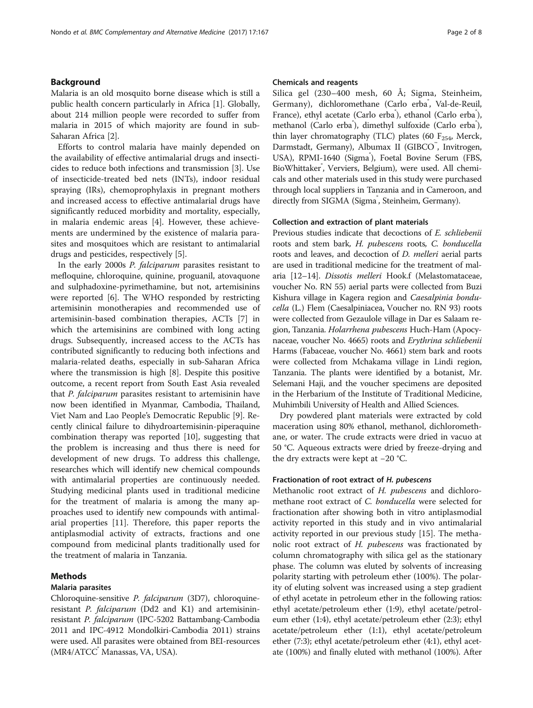# Background

Malaria is an old mosquito borne disease which is still a public health concern particularly in Africa [\[1\]](#page-6-0). Globally, about 214 million people were recorded to suffer from malaria in 2015 of which majority are found in sub-Saharan Africa [\[2](#page-6-0)].

Efforts to control malaria have mainly depended on the availability of effective antimalarial drugs and insecticides to reduce both infections and transmission [\[3\]](#page-6-0). Use of insecticide-treated bed nets (INTs), indoor residual spraying (IRs), chemoprophylaxis in pregnant mothers and increased access to effective antimalarial drugs have significantly reduced morbidity and mortality, especially, in malaria endemic areas [[4\]](#page-6-0). However, these achievements are undermined by the existence of malaria parasites and mosquitoes which are resistant to antimalarial drugs and pesticides, respectively [[5\]](#page-6-0).

In the early 2000s P. falciparum parasites resistant to mefloquine, chloroquine, quinine, proguanil, atovaquone and sulphadoxine-pyrimethamine, but not, artemisinins were reported [\[6\]](#page-6-0). The WHO responded by restricting artemisinin monotherapies and recommended use of artemisinin-based combination therapies, ACTs [[7\]](#page-6-0) in which the artemisinins are combined with long acting drugs. Subsequently, increased access to the ACTs has contributed significantly to reducing both infections and malaria-related deaths, especially in sub-Saharan Africa where the transmission is high [\[8](#page-6-0)]. Despite this positive outcome, a recent report from South East Asia revealed that P. falciparum parasites resistant to artemisinin have now been identified in Myanmar, Cambodia, Thailand, Viet Nam and Lao People's Democratic Republic [\[9](#page-6-0)]. Recently clinical failure to dihydroartemisinin-piperaquine combination therapy was reported [[10](#page-6-0)], suggesting that the problem is increasing and thus there is need for development of new drugs. To address this challenge, researches which will identify new chemical compounds with antimalarial properties are continuously needed. Studying medicinal plants used in traditional medicine for the treatment of malaria is among the many approaches used to identify new compounds with antimalarial properties [[11](#page-6-0)]. Therefore, this paper reports the antiplasmodial activity of extracts, fractions and one compound from medicinal plants traditionally used for the treatment of malaria in Tanzania.

# Methods

## Malaria parasites

Chloroquine-sensitive P. falciparum (3D7), chloroquineresistant P. falciparum (Dd2 and K1) and artemisininresistant P. falciparum (IPC-5202 Battambang-Cambodia 2011 and IPC-4912 Mondolkiri-Cambodia 2011) strains were used. All parasites were obtained from BEI-resources (MR4/ATCC<sup>®</sup> Manassas, VA, USA).

# Chemicals and reagents

Silica gel (230–400 mesh, 60 Å; Sigma, Steinheim, Germany), dichloromethane (Carlo erba<sup>\*</sup>, Val-de-Reuil, France), ethyl acetate (Carlo erba<sup>®</sup>), ethanol (Carlo erba<sup>®</sup>), methanol (Carlo erba<sup>®</sup>), dimethyl sulfoxide (Carlo erba®), thin layer chromatography (TLC) plates (60  $F_{254}$ , Merck, Darmstadt, Germany), Albumax II (GIBCO™, Invitrogen, USA), RPMI-1640 (Sigma<sup>®</sup>), Foetal Bovine Serum (FBS, BioWhittaker<sup>®</sup>, Verviers, Belgium), were used. All chemicals and other materials used in this study were purchased through local suppliers in Tanzania and in Cameroon, and directly from SIGMA (Sigma<sup>®</sup>, Steinheim, Germany).

### Collection and extraction of plant materials

Previous studies indicate that decoctions of E. schliebenii roots and stem bark, H. pubescens roots, C. bonducella roots and leaves, and decoction of D. melleri aerial parts are used in traditional medicine for the treatment of malaria [[12](#page-7-0)–[14\]](#page-7-0). Dissotis melleri Hook.f (Melastomataceae, voucher No. RN 55) aerial parts were collected from Buzi Kishura village in Kagera region and Caesalpinia bonducella (L.) Flem (Caesalpiniacea, Voucher no. RN 93) roots were collected from Gezaulole village in Dar es Salaam region, Tanzania. Holarrhena pubescens Huch-Ham (Apocynaceae, voucher No. 4665) roots and Erythrina schliebenii Harms (Fabaceae, voucher No. 4661) stem bark and roots were collected from Mchakama village in Lindi region, Tanzania. The plants were identified by a botanist, Mr. Selemani Haji, and the voucher specimens are deposited in the Herbarium of the Institute of Traditional Medicine, Muhimbili University of Health and Allied Sciences.

Dry powdered plant materials were extracted by cold maceration using 80% ethanol, methanol, dichloromethane, or water. The crude extracts were dried in vacuo at 50 °C. Aqueous extracts were dried by freeze-drying and the dry extracts were kept at −20 °C.

## Fractionation of root extract of H. pubescens

Methanolic root extract of H. pubescens and dichloromethane root extract of C. bonducella were selected for fractionation after showing both in vitro antiplasmodial activity reported in this study and in vivo antimalarial activity reported in our previous study [\[15](#page-7-0)]. The methanolic root extract of H. *pubescens* was fractionated by column chromatography with silica gel as the stationary phase. The column was eluted by solvents of increasing polarity starting with petroleum ether (100%). The polarity of eluting solvent was increased using a step gradient of ethyl acetate in petroleum ether in the following ratios: ethyl acetate/petroleum ether (1:9), ethyl acetate/petroleum ether (1:4), ethyl acetate/petroleum ether (2:3); ethyl acetate/petroleum ether (1:1), ethyl acetate/petroleum ether (7:3); ethyl acetate/petroleum ether (4:1), ethyl acetate (100%) and finally eluted with methanol (100%). After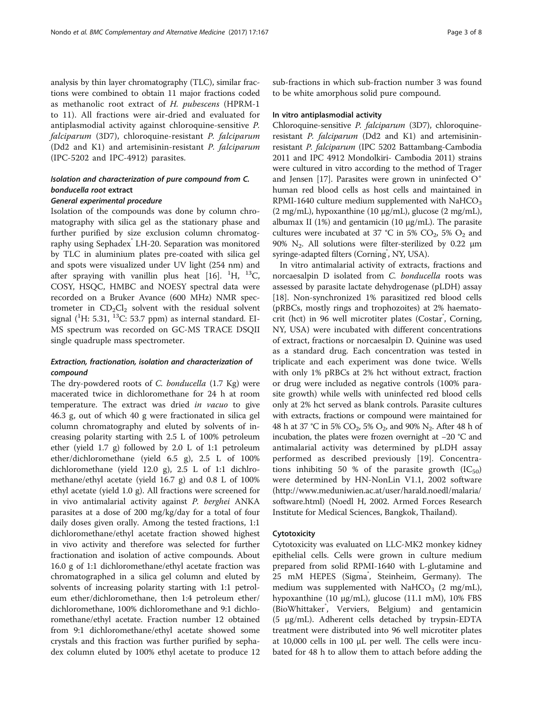analysis by thin layer chromatography (TLC), similar fractions were combined to obtain 11 major fractions coded as methanolic root extract of H. pubescens (HPRM-1 to 11). All fractions were air-dried and evaluated for antiplasmodial activity against chloroquine-sensitive P. falciparum (3D7), chloroquine-resistant P. falciparum (Dd2 and K1) and artemisinin-resistant P. falciparum (IPC-5202 and IPC-4912) parasites.

# Isolation and characterization of pure compound from C. bonducella root extract

## General experimental procedure

Isolation of the compounds was done by column chromatography with silica gel as the stationary phase and further purified by size exclusion column chromatography using Sephadex<sup>®</sup> LH-20. Separation was monitored by TLC in aluminium plates pre-coated with silica gel and spots were visualized under UV light (254 nm) and after spraying with vanillin plus heat  $[16]$  $[16]$ .  $^{1}H$ ,  $^{13}C$ , COSY, HSQC, HMBC and NOESY spectral data were recorded on a Bruker Avance (600 MHz) NMR spectrometer in  $CD_2Cl_2$  solvent with the residual solvent signal ( ${}^{1}$ H: 5.31,  ${}^{13}$ C: 53.7 ppm) as internal standard. EI-MS spectrum was recorded on GC-MS TRACE DSQII single quadruple mass spectrometer.

# Extraction, fractionation, isolation and characterization of compound

The dry-powdered roots of C. bonducella (1.7 Kg) were macerated twice in dichloromethane for 24 h at room temperature. The extract was dried in vacuo to give 46.3 g, out of which 40 g were fractionated in silica gel column chromatography and eluted by solvents of increasing polarity starting with 2.5 L of 100% petroleum ether (yield 1.7 g) followed by 2.0 L of 1:1 petroleum ether/dichloromethane (yield 6.5 g), 2.5 L of 100% dichloromethane (yield 12.0 g), 2.5 L of 1:1 dichlromethane/ethyl acetate (yield 16.7 g) and 0.8 L of 100% ethyl acetate (yield 1.0 g). All fractions were screened for in vivo antimalarial activity against P. berghei ANKA parasites at a dose of 200 mg/kg/day for a total of four daily doses given orally. Among the tested fractions, 1:1 dichloromethane/ethyl acetate fraction showed highest in vivo activity and therefore was selected for further fractionation and isolation of active compounds. About 16.0 g of 1:1 dichloromethane/ethyl acetate fraction was chromatographed in a silica gel column and eluted by solvents of increasing polarity starting with 1:1 petroleum ether/dichloromethane, then 1:4 petroleum ether/ dichloromethane, 100% dichloromethane and 9:1 dichloromethane/ethyl acetate. Fraction number 12 obtained from 9:1 dichloromethane/ethyl acetate showed some crystals and this fraction was further purified by sephadex column eluted by 100% ethyl acetate to produce 12 sub-fractions in which sub-fraction number 3 was found to be white amorphous solid pure compound.

#### In vitro antiplasmodial activity

Chloroquine-sensitive P. falciparum (3D7), chloroquineresistant P. falciparum (Dd2 and K1) and artemisininresistant P. falciparum (IPC 5202 Battambang-Cambodia 2011 and IPC 4912 Mondolkiri- Cambodia 2011) strains were cultured in vitro according to the method of Trager and Jensen [\[17\]](#page-7-0). Parasites were grown in uninfected  $O<sup>+</sup>$ human red blood cells as host cells and maintained in RPMI-1640 culture medium supplemented with  $NAHCO<sub>3</sub>$  $(2 \text{ mg/mL})$ , hypoxanthine  $(10 \text{ µg/mL})$ , glucose  $(2 \text{ mg/mL})$ , albumax II (1%) and gentamicin (10 μg/mL). The parasite cultures were incubated at 37 °C in 5% CO<sub>2</sub>, 5% O<sub>2</sub> and 90%  $N_2$ . All solutions were filter-sterilized by 0.22 μm syringe-adapted filters (Corning<sup>\*</sup>, NY, USA).

In vitro antimalarial activity of extracts, fractions and norcaesalpin D isolated from C. bonducella roots was assessed by parasite lactate dehydrogenase (pLDH) assay [[18\]](#page-7-0). Non-synchronized 1% parasitized red blood cells (pRBCs, mostly rings and trophozoites) at 2% haematocrit (hct) in 96 well microtiter plates (Costar<sup>°</sup>, Corning, NY, USA) were incubated with different concentrations of extract, fractions or norcaesalpin D. Quinine was used as a standard drug. Each concentration was tested in triplicate and each experiment was done twice. Wells with only 1% pRBCs at 2% hct without extract, fraction or drug were included as negative controls (100% parasite growth) while wells with uninfected red blood cells only at 2% hct served as blank controls. Parasite cultures with extracts, fractions or compound were maintained for 48 h at 37 °C in 5% CO<sub>2</sub>, 5% O<sub>2</sub>, and 90% N<sub>2</sub>. After 48 h of incubation, the plates were frozen overnight at −20 °C and antimalarial activity was determined by pLDH assay performed as described previously [\[19](#page-7-0)]. Concentrations inhibiting 50 % of the parasite growth  $(IC_{50})$ were determined by HN-NonLin V1.1, 2002 software (http://www.meduniwien.ac.at/user/harald.noedl/malaria/ software.html) (Noedl H, 2002. Armed Forces Research Institute for Medical Sciences, Bangkok, Thailand).

#### Cytotoxicity

Cytotoxicity was evaluated on LLC-MK2 monkey kidney epithelial cells. Cells were grown in culture medium prepared from solid RPMI-1640 with L-glutamine and 25 mM HEPES (Sigma<sup>®</sup>, Steinheim, Germany). The medium was supplemented with NaHCO<sub>3</sub> (2 mg/mL), hypoxanthine (10 μg/mL), glucose (11.1 mM), 10% FBS (BioWhittaker<sup>\*</sup>, Verviers, Belgium) and gentamicin (5 μg/mL). Adherent cells detached by trypsin-EDTA treatment were distributed into 96 well microtiter plates at 10,000 cells in 100 μL per well. The cells were incubated for 48 h to allow them to attach before adding the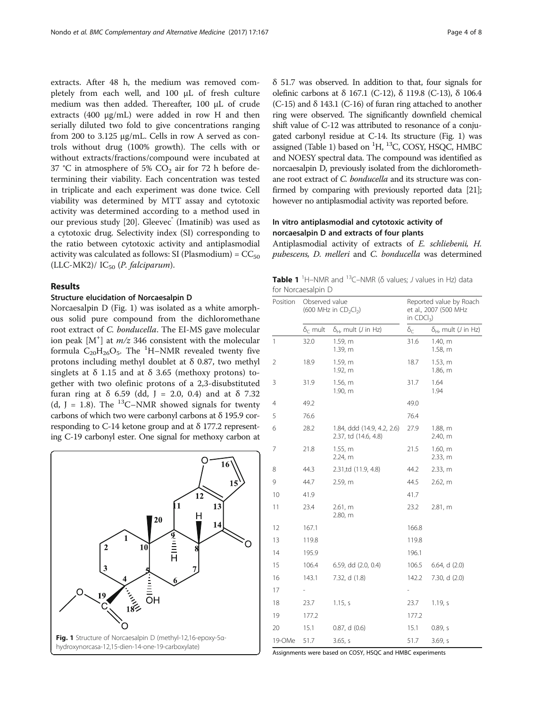<span id="page-3-0"></span>extracts. After 48 h, the medium was removed completely from each well, and 100 μL of fresh culture medium was then added. Thereafter, 100 μL of crude extracts (400 μg/mL) were added in row H and then serially diluted two fold to give concentrations ranging from 200 to 3.125 μg/mL. Cells in row A served as controls without drug (100% growth). The cells with or without extracts/fractions/compound were incubated at 37 °C in atmosphere of 5%  $CO<sub>2</sub>$  air for 72 h before determining their viability. Each concentration was tested in triplicate and each experiment was done twice. Cell viability was determined by MTT assay and cytotoxic activity was determined according to a method used in our previous study [[20\]](#page-7-0). Gleevec<sup>"</sup> (Imatinib) was used as a cytotoxic drug. Selectivity index (SI) corresponding to the ratio between cytotoxic activity and antiplasmodial activity was calculated as follows: SI (Plasmodium) =  $CC_{50}$  $(LLC-MK2)/ IC_{50} (P. *falciparum*).$ 

## Results

# Structure elucidation of Norcaesalpin D

Norcaesalpin D (Fig. 1) was isolated as a white amorphous solid pure compound from the dichloromethane root extract of C. bonducella. The EI-MS gave molecular ion peak  $[M^+]$  at  $m/z$  346 consistent with the molecular formula  $\rm{C_{20}H_{26}O_5}$ . The <sup>1</sup>H-NMR revealed twenty five protons including methyl doublet at  $\delta$  0.87, two methyl singlets at  $\delta$  1.15 and at  $\delta$  3.65 (methoxy protons) together with two olefinic protons of a 2,3-disubstituted furan ring at δ 6.59 (dd, J = 2.0, 0.4) and at δ 7.32 (d, J = 1.8). The <sup>13</sup>C–NMR showed signals for twenty carbons of which two were carbonyl carbons at δ 195.9 corresponding to C-14 ketone group and at  $\delta$  177.2 representing C-19 carbonyl ester. One signal for methoxy carbon at



δ 51.7 was observed. In addition to that, four signals for olefinic carbons at δ 167.1 (C-12), δ 119.8 (C-13), δ 106.4  $(C-15)$  and  $\delta$  143.1  $(C-16)$  of furan ring attached to another ring were observed. The significantly downfield chemical shift value of C-12 was attributed to resonance of a conjugated carbonyl residue at C-14. Its structure (Fig. 1) was assigned (Table 1) based on <sup>1</sup>H, <sup>13</sup>C, COSY, HSQC, HMBC and NOESY spectral data. The compound was identified as norcaesalpin D, previously isolated from the dichloromethane root extract of C. bonducella and its structure was confirmed by comparing with previously reported data [\[21](#page-7-0)]; however no antiplasmodial activity was reported before.

# In vitro antiplasmodial and cytotoxic activity of norcaesalpin D and extracts of four plants

Antiplasmodial activity of extracts of E. schliebenii, H. pubescens, D. melleri and C. bonducella was determined

| <b>Table 1</b> <sup>1</sup> H-NMR and <sup>13</sup> C-NMR ( $\delta$ values; <i>J</i> values in Hz) data |  |  |  |  |
|----------------------------------------------------------------------------------------------------------|--|--|--|--|
| for Norcaesalpin D                                                                                       |  |  |  |  |

| Position | Observed value  | (600 MHz in $CD_2Cl_2$ )                           | Reported value by Roach<br>et al., 2007 (500 MHz<br>in $CDCl3$ ) |                             |  |
|----------|-----------------|----------------------------------------------------|------------------------------------------------------------------|-----------------------------|--|
|          | $\delta_c$ mult | $\delta_H$ , mult ( <i>J</i> in Hz)                | $\delta_{\rm C}$                                                 | $\delta_H$ , mult (J in Hz) |  |
| 1        | 32.0            | $1.59r$ m<br>$1.39r$ m                             | 31.6                                                             | 1.40, m<br>1.58, m          |  |
| 2        | 18.9            | $1.59r$ m<br>1.92, m                               | 18.7                                                             | 1.53, m<br>1.86, m          |  |
| 3        | 31.9            | 1.56, m<br>$1.90r$ m                               | 31.7                                                             | 1.64<br>1.94                |  |
| 4        | 49.2            |                                                    | 49.0                                                             |                             |  |
| 5        | 76.6            |                                                    | 76.4                                                             |                             |  |
| 6        | 28.2            | 1.84, ddd (14.9, 4.2, 2.6)<br>2.37, td (14.6, 4.8) | 27.9                                                             | 1.88, m<br>2.40, m          |  |
| 7        | 21.8            | 1.55, m<br>$2.24$ , m                              | 21.5                                                             | 1.60, m<br>2.33, m          |  |
| 8        | 44.3            | 2.31,td (11.9, 4.8)                                | 44.2                                                             | 2.33, m                     |  |
| 9        | 44.7            | 2.59, m                                            | 44.5                                                             | 2.62, m                     |  |
| 10       | 41.9            |                                                    | 41.7                                                             |                             |  |
| 11       | 23.4            | 2.61, m<br>2.80, m                                 | 23.2                                                             | 2.81, m                     |  |
| 12       | 167.1           |                                                    | 166.8                                                            |                             |  |
| 13       | 119.8           |                                                    | 119.8                                                            |                             |  |
| 14       | 195.9           |                                                    | 196.1                                                            |                             |  |
| 15       | 106.4           | 6.59, dd (2.0, 0.4)                                | 106.5                                                            | $6.64$ , d $(2.0)$          |  |
| 16       | 143.1           | 7.32, d (1.8)                                      | 142.2                                                            | 7.30, $d(2.0)$              |  |
| 17       |                 |                                                    |                                                                  |                             |  |
| 18       | 23.7            | 1.15, s                                            | 23.7                                                             | 1.19, s                     |  |
| 19       | 177.2           |                                                    | 177.2                                                            |                             |  |
| 20       | 15.1            | $0.87$ , d $(0.6)$                                 | 15.1                                                             | 0.89, s                     |  |
| 19-OMe   | 51.7            | 3.65, s                                            | 51.7                                                             | 3.69, s                     |  |

Assignments were based on COSY, HSQC and HMBC experiments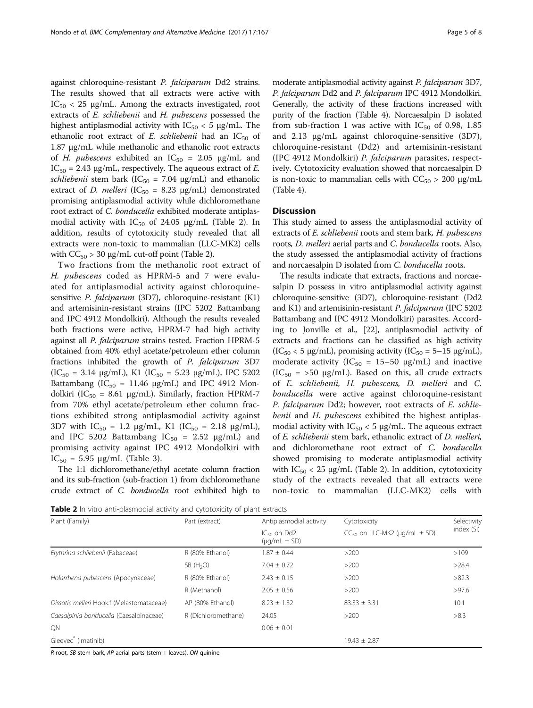<span id="page-4-0"></span>against chloroquine-resistant P. falciparum Dd2 strains. The results showed that all extracts were active with  $IC_{50}$  < 25 µg/mL. Among the extracts investigated, root extracts of E. schliebenii and H. pubescens possessed the highest antiplasmodial activity with  $IC_{50} < 5 \mu g/mL$ . The ethanolic root extract of E. schliebenii had an  $IC_{50}$  of 1.87 μg/mL while methanolic and ethanolic root extracts of H. pubescens exhibited an  $IC_{50} = 2.05$  μg/mL and IC<sub>50</sub> = 2.43 μg/mL, respectively. The aqueous extract of *E*. schliebenii stem bark (IC<sub>50</sub> = 7.04 μg/mL) and ethanolic extract of D. melleri (IC<sub>50</sub> = 8.23 µg/mL) demonstrated promising antiplasmodial activity while dichloromethane root extract of C. bonducella exhibited moderate antiplasmodial activity with  $IC_{50}$  of 24.05 μg/mL (Table 2). In addition, results of cytotoxicity study revealed that all extracts were non-toxic to mammalian (LLC-MK2) cells with  $CC_{50} > 30 \mu g/mL$  cut-off point (Table 2).

Two fractions from the methanolic root extract of H. pubescens coded as HPRM-5 and 7 were evaluated for antiplasmodial activity against chloroquinesensitive P. falciparum (3D7), chloroquine-resistant (K1) and artemisinin-resistant strains (IPC 5202 Battambang and IPC 4912 Mondolkiri). Although the results revealed both fractions were active, HPRM-7 had high activity against all P. falciparum strains tested. Fraction HPRM-5 obtained from 40% ethyl acetate/petroleum ether column fractions inhibited the growth of P. falciparum 3D7  $(IC_{50} = 3.14 \text{ µg/mL})$ , K1  $(IC_{50} = 5.23 \text{ µg/mL})$ , IPC 5202 Battambang (IC<sub>50</sub> = 11.46  $\mu$ g/mL) and IPC 4912 Mondolkiri (IC<sub>50</sub> = 8.61 μg/mL). Similarly, fraction HPRM-7 from 70% ethyl acetate/petroleum ether column fractions exhibited strong antiplasmodial activity against 3D7 with  $IC_{50} = 1.2 \mu g/mL$ , K1  $(IC_{50} = 2.18 \mu g/mL)$ , and IPC 5202 Battambang IC<sub>50</sub> = 2.52  $\mu$ g/mL) and promising activity against IPC 4912 Mondolkiri with IC<sub>50</sub> = 5.95 μg/mL (Table [3\)](#page-5-0).

The 1:1 dichloromethane/ethyl acetate column fraction and its sub-fraction (sub-fraction 1) from dichloromethane crude extract of C. bonducella root exhibited high to

moderate antiplasmodial activity against P. falciparum 3D7, P. falciparum Dd2 and P. falciparum IPC 4912 Mondolkiri. Generally, the activity of these fractions increased with purity of the fraction (Table [4](#page-5-0)). Norcaesalpin D isolated from sub-fraction 1 was active with  $IC_{50}$  of 0.98, 1.85 and 2.13 μg/mL against chloroquine-sensitive (3D7), chloroquine-resistant (Dd2) and artemisinin-resistant (IPC 4912 Mondolkiri) P. falciparum parasites, respectively. Cytotoxicity evaluation showed that norcaesalpin D is non-toxic to mammalian cells with  $CC_{50} > 200 \mu g/mL$ (Table [4](#page-5-0)).

## **Discussion**

This study aimed to assess the antiplasmodial activity of extracts of E. schliebenii roots and stem bark, H. pubescens roots, D. melleri aerial parts and C. bonducella roots. Also, the study assessed the antiplasmodial activity of fractions and norcaesalpin D isolated from C. bonducella roots.

The results indicate that extracts, fractions and norcaesalpin D possess in vitro antiplasmodial activity against chloroquine-sensitive (3D7), chloroquine-resistant (Dd2 and K1) and artemisinin-resistant P. falciparum (IPC 5202 Battambang and IPC 4912 Mondolkiri) parasites. According to Jonville et al., [\[22\]](#page-7-0), antiplasmodial activity of extracts and fractions can be classified as high activity  $(IC_{50} < 5 \mu g/mL)$ , promising activity  $(IC_{50} = 5-15 \mu g/mL)$ , moderate activity (IC<sub>50</sub> = 15-50  $\mu$ g/mL) and inactive  $(IC_{50}$  = >50 µg/mL). Based on this, all crude extracts of E. schliebenii, H. pubescens, D. melleri and C. bonducella were active against chloroquine-resistant P. falciparum Dd2; however, root extracts of E. schliebenii and H. pubescens exhibited the highest antiplasmodial activity with  $IC_{50}$  < 5 µg/mL. The aqueous extract of E. schliebenii stem bark, ethanolic extract of D. melleri, and dichloromethane root extract of C. bonducella showed promising to moderate antiplasmodial activity with  $IC_{50} < 25 \mu g/mL$  (Table 2). In addition, cytotoxicity study of the extracts revealed that all extracts were non-toxic to mammalian (LLC-MK2) cells with

Table 2 In vitro anti-plasmodial activity and cytotoxicity of plant extracts

| Plant (Family)                            | Part (extract)       | Antiplasmodial activity                 | Cytotoxicity                                | Selectivity |
|-------------------------------------------|----------------------|-----------------------------------------|---------------------------------------------|-------------|
|                                           |                      | $IC_{50}$ on Dd2<br>$(\mu q/mL \pm SD)$ | $CC_{50}$ on LLC-MK2 ( $\mu$ g/mL $\pm$ SD) | index (SI)  |
| Erythrina schliebenii (Fabaceae)          | R (80% Ethanol)      | $1.87 \pm 0.44$                         | >200                                        | >109        |
|                                           | SB(H <sub>2</sub> O) | $7.04 + 0.72$                           | >200                                        | >28.4       |
| Holarrhena pubescens (Apocynaceae)        | R (80% Ethanol)      | $2.43 \pm 0.15$                         | >200                                        | >82.3       |
|                                           | R (Methanol)         | $2.05 + 0.56$                           | >200                                        | >97.6       |
| Dissotis melleri Hook.f (Melastomataceae) | AP (80% Ethanol)     | $8.23 + 1.32$                           | $83.33 \pm 3.31$                            | 10.1        |
| Caesalpinia bonducella (Caesalpinaceae)   | R (Dichloromethane)  | 24.05                                   | >200                                        | >8.3        |
| QN                                        |                      | $0.06 \pm 0.01$                         |                                             |             |
| Gleevec <sup>®</sup> (Imatinib)           |                      |                                         | $19.43 \pm 2.87$                            |             |

R root, SB stem bark, AP aerial parts (stem + leaves), QN quinine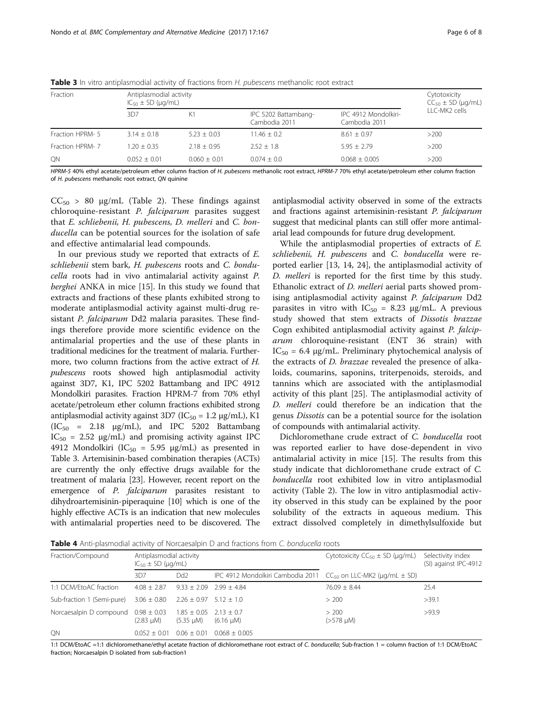| Fraction        | Antiplasmodial activity<br>$IC_{50} \pm SD$ (µg/mL) | Cytotoxicity<br>$CC_{50} \pm SD$ (µg/mL) |                                       |                                       |               |
|-----------------|-----------------------------------------------------|------------------------------------------|---------------------------------------|---------------------------------------|---------------|
|                 | 3D7                                                 | K1                                       | IPC 5202 Battambang-<br>Cambodia 2011 | IPC 4912 Mondolkiri-<br>Cambodia 2011 | LLC-MK2 cells |
| Fraction HPRM-5 | $3.14 + 0.18$                                       | $5.23 + 0.03$                            | $11.46 + 0.2$                         | $8.61 \pm 0.97$                       | >200          |
| Fraction HPRM-7 | $1.20 + 0.35$                                       | $2.18 + 0.95$                            | $2.52 + 1.8$                          | $5.95 + 2.79$                         | >200          |
| QN              | $0.052 + 0.01$                                      | $0.060 + 0.01$                           | $0.074 + 0.0$                         | $0.068 + 0.005$                       | >200          |

<span id="page-5-0"></span>**Table 3** In vitro antiplasmodial activity of fractions from H. pubescens methanolic root extract

HPRM-5 40% ethyl acetate/petroleum ether column fraction of H. pubescens methanolic root extract, HPRM-7 70% ethyl acetate/petroleum ether column fraction of H. pubescens methanolic root extract, QN quinine

 $CC_{50} > 80 \mu g/mL$  (Table [2\)](#page-4-0). These findings against chloroquine-resistant P. falciparum parasites suggest that E. schliebenii, H. pubescens, D. melleri and C. bonducella can be potential sources for the isolation of safe and effective antimalarial lead compounds.

In our previous study we reported that extracts of E. schliebenii stem bark, H. pubescens roots and C. bonducella roots had in vivo antimalarial activity against P. berghei ANKA in mice [\[15\]](#page-7-0). In this study we found that extracts and fractions of these plants exhibited strong to moderate antiplasmodial activity against multi-drug resistant *P. falciparum* Dd2 malaria parasites. These findings therefore provide more scientific evidence on the antimalarial properties and the use of these plants in traditional medicines for the treatment of malaria. Furthermore, two column fractions from the active extract of H. pubescens roots showed high antiplasmodial activity against 3D7, K1, IPC 5202 Battambang and IPC 4912 Mondolkiri parasites. Fraction HPRM-7 from 70% ethyl acetate/petroleum ether column fractions exhibited strong antiplasmodial activity against 3D7 (IC<sub>50</sub> = 1.2  $\mu$ g/mL), K1  $(IC_{50}$  = 2.18  $\mu$ g/mL), and IPC 5202 Battambang IC<sub>50</sub> = 2.52 μg/mL) and promising activity against IPC 4912 Mondolkiri (IC<sub>50</sub> = 5.95  $\mu$ g/mL) as presented in Table 3. Artemisinin-based combination therapies (ACTs) are currently the only effective drugs available for the treatment of malaria [\[23\]](#page-7-0). However, recent report on the emergence of *P. falciparum* parasites resistant to dihydroartemisinin-piperaquine [\[10\]](#page-6-0) which is one of the highly effective ACTs is an indication that new molecules with antimalarial properties need to be discovered. The antiplasmodial activity observed in some of the extracts and fractions against artemisinin-resistant P. falciparum suggest that medicinal plants can still offer more antimalarial lead compounds for future drug development.

While the antiplasmodial properties of extracts of E. schliebenii, H. pubescens and C. bonducella were reported earlier [[13, 14](#page-7-0), [24\]](#page-7-0), the antiplasmodial activity of D. melleri is reported for the first time by this study. Ethanolic extract of *D. melleri* aerial parts showed promising antiplasmodial activity against P. falciparum Dd2 parasites in vitro with  $IC_{50} = 8.23 \text{ µg/mL}$ . A previous study showed that stem extracts of Dissotis brazzae Cogn exhibited antiplasmodial activity against P. falciparum chloroquine-resistant (ENT 36 strain) with IC<sub>50</sub> = 6.4 μg/mL. Preliminary phytochemical analysis of the extracts of D. brazzae revealed the presence of alkaloids, coumarins, saponins, triterpenoids, steroids, and tannins which are associated with the antiplasmodial activity of this plant [[25](#page-7-0)]. The antiplasmodial activity of D. melleri could therefore be an indication that the genus Dissotis can be a potential source for the isolation of compounds with antimalarial activity.

Dichloromethane crude extract of C. bonducella root was reported earlier to have dose-dependent in vivo antimalarial activity in mice [\[15](#page-7-0)]. The results from this study indicate that dichloromethane crude extract of C. bonducella root exhibited low in vitro antiplasmodial activity (Table [2](#page-4-0)). The low in vitro antiplasmodial activity observed in this study can be explained by the poor solubility of the extracts in aqueous medium. This extract dissolved completely in dimethylsulfoxide but

**Table 4** Anti-plasmodial activity of Norcaesalpin D and fractions from C. bonducella roots

| Fraction/Compound                          | Antiplasmodial activity<br>$IC_{50} \pm SD$ (µg/mL) |                                                                                                  |                                 | Cytotoxicity $CC_{50} \pm SD$ (µg/mL) | Selectivity index<br>(SI) against IPC-4912 |  |
|--------------------------------------------|-----------------------------------------------------|--------------------------------------------------------------------------------------------------|---------------------------------|---------------------------------------|--------------------------------------------|--|
|                                            | 3D7                                                 | IPC 4912 Mondolkiri Cambodia 2011 $CC_{50}$ on LLC-MK2 ( $\mu$ g/mL $\pm$ SD)<br>Dd <sub>2</sub> |                                 |                                       |                                            |  |
| 1:1 DCM/EtoAC fraction                     | $4.08 \pm 2.87$                                     |                                                                                                  | $9.33 \pm 2.09$ 2.99 $\pm 4.84$ | $76.09 \pm 8.44$                      | 25.4                                       |  |
| Sub-fraction 1 (Semi-pure) $3.06 \pm 0.80$ |                                                     | $2.26 \pm 0.97$ 5.12 $\pm$ 1.0                                                                   |                                 | > 200                                 | >39.1                                      |  |
| Norcaesalpin D compound $0.98 \pm 0.03$    | $(2.83 \mu M)$                                      | $1.85 \pm 0.05$ $2.13 \pm 0.7$<br>$(5.35 \mu M)$                                                 | $(6.16 \mu M)$                  | > 200<br>$(>578 \mu M)$               | >93.9                                      |  |
| ON                                         | $0.052 + 0.01$                                      | $0.06 + 0.01$                                                                                    | $0.068 + 0.005$                 |                                       |                                            |  |

1:1 DCM/EtoAC =1:1 dichloromethane/ethyl acetate fraction of dichloromethane root extract of C. bonducella; Sub-fraction 1 = column fraction of 1:1 DCM/EtoAC fraction; Norcaesalpin D isolated from sub-fraction1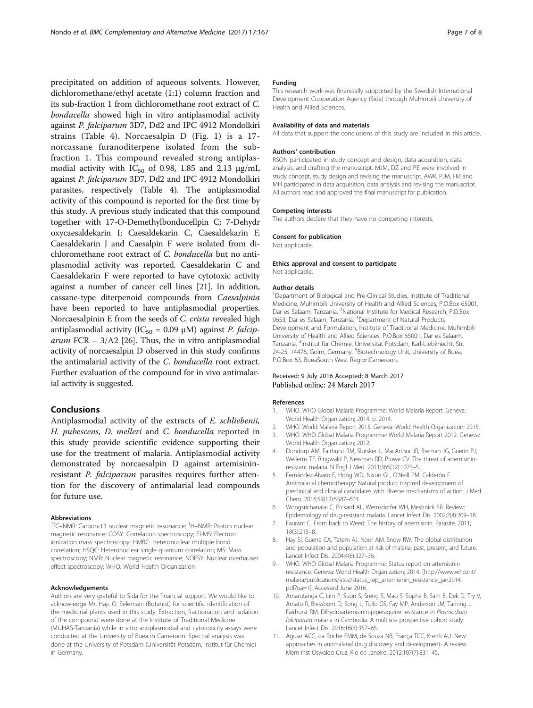<span id="page-6-0"></span>precipitated on addition of aqueous solvents. However, dichloromethane/ethyl acetate (1:1) column fraction and its sub-fraction 1 from dichloromethane root extract of C. bonducella showed high in vitro antiplasmodial activity against P. falciparum 3D7, Dd2 and IPC 4912 Mondolkiri strains (Table [4](#page-5-0)). Norcaesalpin D (Fig. [1](#page-3-0)) is a 17 norcassane furanoditerpene isolated from the subfraction 1. This compound revealed strong antiplasmodial activity with  $IC_{50}$  of 0.98, 1.85 and 2.13  $\mu$ g/mL against P. falciparum 3D7, Dd2 and IPC 4912 Mondolkiri parasites, respectively (Table [4\)](#page-5-0). The antiplasmodial activity of this compound is reported for the first time by this study. A previous study indicated that this compound together with 17-O-Demethylbonducellpin C; 7-Dehydr oxycaesaldekarin I; Caesaldekarin C, Caesaldekarin F, Caesaldekarin J and Caesalpin F were isolated from dichloromethane root extract of C. bonducella but no antiplasmodial activity was reported. Caesaldekarin C and Caesaldekarin F were reported to have cytotoxic activity against a number of cancer cell lines [[21](#page-7-0)]. In addition, cassane-type diterpenoid compounds from Caesalpinia have been reported to have antiplasmodial properties. Norcaesalpinin E from the seeds of C. crista revealed high antiplasmodial activity (IC<sub>50</sub> = 0.09 μM) against *P. falcip*arum FCR –  $3/A2$  [[26](#page-7-0)]. Thus, the in vitro antiplasmodial activity of norcaesalpin D observed in this study confirms the antimalarial activity of the C. bonducella root extract. Further evaluation of the compound for in vivo antimalarial activity is suggested.

# Conclusions

Antiplasmodial activity of the extracts of E. schliebenii, H. pubescens, D. melleri and C. bonducella reported in this study provide scientific evidence supporting their use for the treatment of malaria. Antiplasmodial activity demonstrated by norcaesalpin D against artemisininresistant P. falciparum parasites requires further attention for the discovery of antimalarial lead compounds for future use.

#### Abbreviations

<sup>13</sup>C-NMR: Carbon-13 nuclear magnetic resonance; <sup>1</sup>H-NMR: Proton nuclear magnetic resonance; COSY: Correlation spectroscopy; EI-MS: Electron ionization mass spectroscopy; HMBC: Heteronuclear multiple bond correlation; HSQC: Heteronuclear single quantum correlation; MS: Mass spectroscopy; NMR: Nuclear magnetic resonance; NOESY: Nuclear overhauser effect spectroscopy; WHO: World Health Organization

#### Acknowledgements

Authors are very grateful to Sida for the financial support. We would like to acknowledge Mr. Haji. O. Selemani (Botanist) for scientific identification of the medicinal plants used in this study. Extraction, fractionation and isolation of the compound were done at the Institute of Traditional Medicine (MUHAS-Tanzania) while in vitro antiplasmodial and cytotoxicity assays were conducted at the University of Buea in Cameroon. Spectral analysis was done at the University of Potsdam (Universität Potsdam, Institut für Chemie) in Germany.

#### Funding

This research work was financially supported by the Swedish International Development Cooperation Agency (Sida) through Muhimbili University of Health and Allied Sciences.

#### Availability of data and materials

All data that support the conclusions of this study are included in this article.

#### Authors' contribution

RSON participated in study concept and design, data acquisition, data analysis, and drafting the manuscript. MJM, DZ and PE were involved in study concept, study design and revising the manuscript. AWK, PJM, FM and MH participated in data acquisition, data analysis and revising the manuscript. All authors read and approved the final manuscript for publication.

#### Competing interests

The authors declare that they have no competing interests.

#### Consent for publication

Not applicable.

#### Ethics approval and consent to participate

Not applicable.

#### Author details

<sup>1</sup>Department of Biological and Pre-Clinical Studies, Institute of Traditional Medicine, Muhimbili University of Health and Allied Sciences, P.O.Box 65001, Dar es Salaam, Tanzania. <sup>2</sup>National Institute for Medical Research, P.O.Box 9653, Dar es Salaam, Tanzania. <sup>3</sup>Department of Natural Products Development and Formulation, Institute of Traditional Medicine, Muhimbili University of Health and Allied Sciences, P.O.Box 65001, Dar es Salaam, Tanzania. <sup>4</sup>Institut für Chemie, Universität Potsdam, Karl-Liebknecht, Str 24-25, 14476, Golm, Germany. <sup>5</sup>Biotechnology Unit, University of Buea, P.O.Box 63, BueaSouth West RegionCameroon.

#### Received: 9 July 2016 Accepted: 8 March 2017 Published online: 24 March 2017

#### References

- 1. WHO. WHO Global Malaria Programme: World Malaria Report. Geneva: World Health Organization; 2014. p. 2014.
- 2. WHO. World Malaria Report 2015. Geneva: World Health Organization; 2015.
- 3. WHO. WHO Global Malaria Programme: World Malaria Report 2012. Geneva: World Health Organization; 2012.
- 4. Dondorp AM, Fairhurst RM, Slutsker L, MacArthur JR, Breman JG, Guerin PJ, Wellems TE, Ringwald P, Newman RD, Plowe CV. The threat of artemisininresistant malaria. N Engl J Med. 2011;365(12):1073–5.
- 5. Fernández-Álvaro E, Hong WD, Nixon GL, O'Neill PM, Calderón F. Antimalarial chemotherapy: Natural product inspired development of preclinical and clinical candidates with diverse mechanisms of action. J Med Chem. 2016;59(12):5587–603.
- 6. Wongsrichanalai C, Pickard AL, Wernsdorfer WH, Meshnick SR. Review: Epidemiology of drug-resistant malaria. Lancet Infect Dis. 2002;2(4):209–18.
- 7. Faurant C. From back to Weed: The history of artemisinin. Parasite. 2011; 18(3):215–8.
- 8. Hay SI, Guerra CA, Tatem AJ, Noor AM, Snow RW. The global distribution and population and population at risk of malaria: past, present, and future. Lancet Infect Dis. 2004;4(6):327–36.
- 9. WHO. WHO Global Malaria Programme: Status report on artemisinin resistance. Geneva: World Health Organization; 2014. [[http://www.who.int/](http://www.who.int/malaria/publications/atoz/status_rep_artemisinin_resistance_jan2014.pdf?ua=1) [malaria/publications/atoz/status\\_rep\\_artemisinin\\_resistance\\_jan2014.](http://www.who.int/malaria/publications/atoz/status_rep_artemisinin_resistance_jan2014.pdf?ua=1) [pdf?ua=1\]](http://www.who.int/malaria/publications/atoz/status_rep_artemisinin_resistance_jan2014.pdf?ua=1). Accessed June 2016.
- 10. Amarutanga C, Lim P, Suon S, Sreng S, Mao S, Sopha B, Sam B, Dek D, Try V, Amato R, Blessborn D, Song L, Tullo GS, Fay MP, Anderson JM, Tarning J, Fairhurst RM. Dihydroartemisinin-piperaquine resistance in Plasmodium falciparum malaria in Cambodia. A multisite prospective cohort study. Lancet Infect Dis. 2016;16(3):357–65.
- 11. Aguiar ACC, da Roche EMM, de Souza NB, França TCC, Krettli AU. New approaches in antimalarial drug discovery and development- A review. Mem inst Oswaldo Cruz, Rio de Janeiro. 2012;107(7):831–45.